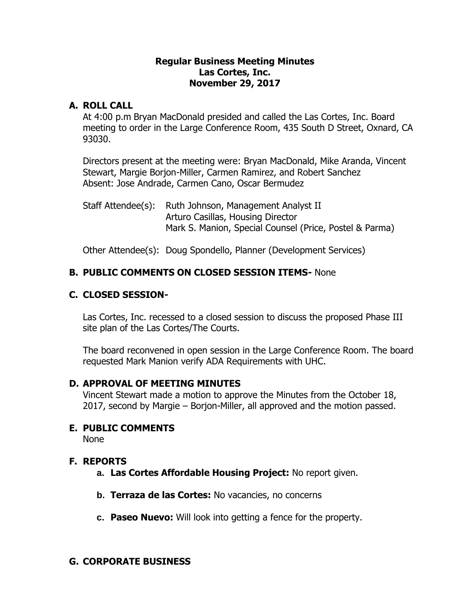#### **Regular Business Meeting Minutes Las Cortes, Inc. November 29, 2017**

#### **A. ROLL CALL**

At 4:00 p.m Bryan MacDonald presided and called the Las Cortes, Inc. Board meeting to order in the Large Conference Room, 435 South D Street, Oxnard, CA 93030.

Directors present at the meeting were: Bryan MacDonald, Mike Aranda, Vincent Stewart, Margie Borjon-Miller, Carmen Ramirez, and Robert Sanchez Absent: Jose Andrade, Carmen Cano, Oscar Bermudez

Staff Attendee(s): Ruth Johnson, Management Analyst II Arturo Casillas, Housing Director Mark S. Manion, Special Counsel (Price, Postel & Parma)

Other Attendee(s): Doug Spondello, Planner (Development Services)

# **B. PUBLIC COMMENTS ON CLOSED SESSION ITEMS-** None

## **C. CLOSED SESSION-**

Las Cortes, Inc. recessed to a closed session to discuss the proposed Phase III site plan of the Las Cortes/The Courts.

The board reconvened in open session in the Large Conference Room. The board requested Mark Manion verify ADA Requirements with UHC.

## **D. APPROVAL OF MEETING MINUTES**

Vincent Stewart made a motion to approve the Minutes from the October 18, 2017, second by Margie – Borjon-Miller, all approved and the motion passed.

## **E. PUBLIC COMMENTS**

None

## **F. REPORTS**

- **a. Las Cortes Affordable Housing Project:** No report given.
- **b. Terraza de las Cortes:** No vacancies, no concerns
- **c. Paseo Nuevo:** Will look into getting a fence for the property.

## **G. CORPORATE BUSINESS**